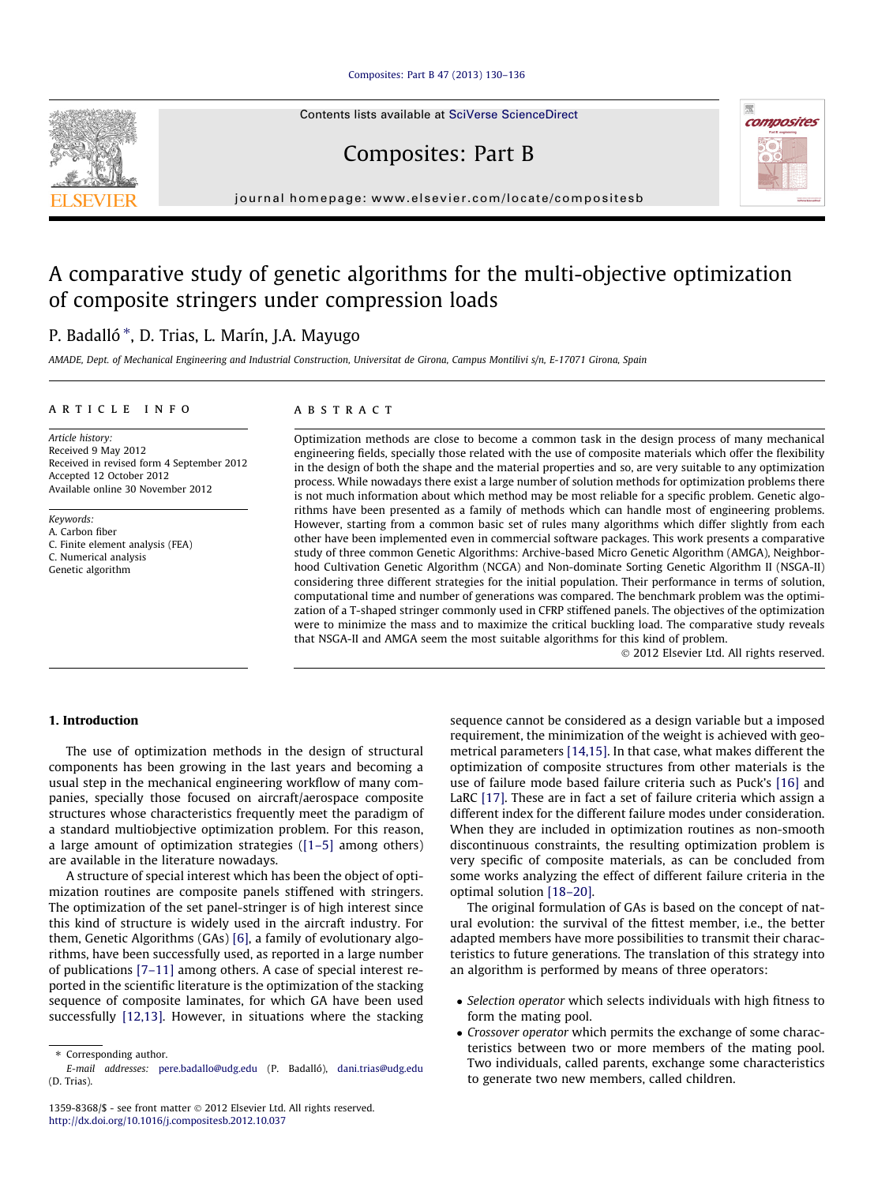[Composites: Part B 47 \(2013\) 130–136](http://dx.doi.org/10.1016/j.compositesb.2012.10.037)

Contents lists available at [SciVerse ScienceDirect](http://www.sciencedirect.com/science/journal/13598368)

Composites: Part B

journal homepage: [www.elsevier.com/locate/compositesb](http://www.elsevier.com/locate/compositesb)

## A comparative study of genetic algorithms for the multi-objective optimization of composite stringers under compression loads

## P. Badalló \*, D. Trias, L. Marín, J.A. Mayugo

AMADE, Dept. of Mechanical Engineering and Industrial Construction, Universitat de Girona, Campus Montilivi s/n, E-17071 Girona, Spain

#### article info

Article history: Received 9 May 2012 Received in revised form 4 September 2012 Accepted 12 October 2012 Available online 30 November 2012

Keywords: A. Carbon fiber C. Finite element analysis (FEA) C. Numerical analysis Genetic algorithm

### ABSTRACT

Optimization methods are close to become a common task in the design process of many mechanical engineering fields, specially those related with the use of composite materials which offer the flexibility in the design of both the shape and the material properties and so, are very suitable to any optimization process. While nowadays there exist a large number of solution methods for optimization problems there is not much information about which method may be most reliable for a specific problem. Genetic algorithms have been presented as a family of methods which can handle most of engineering problems. However, starting from a common basic set of rules many algorithms which differ slightly from each other have been implemented even in commercial software packages. This work presents a comparative study of three common Genetic Algorithms: Archive-based Micro Genetic Algorithm (AMGA), Neighborhood Cultivation Genetic Algorithm (NCGA) and Non-dominate Sorting Genetic Algorithm II (NSGA-II) considering three different strategies for the initial population. Their performance in terms of solution, computational time and number of generations was compared. The benchmark problem was the optimization of a T-shaped stringer commonly used in CFRP stiffened panels. The objectives of the optimization were to minimize the mass and to maximize the critical buckling load. The comparative study reveals that NSGA-II and AMGA seem the most suitable algorithms for this kind of problem.

- 2012 Elsevier Ltd. All rights reserved.

## 1. Introduction

The use of optimization methods in the design of structural components has been growing in the last years and becoming a usual step in the mechanical engineering workflow of many companies, specially those focused on aircraft/aerospace composite structures whose characteristics frequently meet the paradigm of a standard multiobjective optimization problem. For this reason, a large amount of optimization strategies [\(\[1–5\]](#page--1-0) among others) are available in the literature nowadays.

A structure of special interest which has been the object of optimization routines are composite panels stiffened with stringers. The optimization of the set panel-stringer is of high interest since this kind of structure is widely used in the aircraft industry. For them, Genetic Algorithms (GAs) [\[6\],](#page--1-0) a family of evolutionary algorithms, have been successfully used, as reported in a large number of publications [\[7–11\]](#page--1-0) among others. A case of special interest reported in the scientific literature is the optimization of the stacking sequence of composite laminates, for which GA have been used successfully [\[12,13\].](#page--1-0) However, in situations where the stacking

⇑ Corresponding author.

sequence cannot be considered as a design variable but a imposed requirement, the minimization of the weight is achieved with geometrical parameters [\[14,15\].](#page--1-0) In that case, what makes different the optimization of composite structures from other materials is the use of failure mode based failure criteria such as Puck's [\[16\]](#page--1-0) and LaRC [\[17\]](#page--1-0). These are in fact a set of failure criteria which assign a different index for the different failure modes under consideration. When they are included in optimization routines as non-smooth discontinuous constraints, the resulting optimization problem is very specific of composite materials, as can be concluded from some works analyzing the effect of different failure criteria in the optimal solution [\[18–20\].](#page--1-0)

The original formulation of GAs is based on the concept of natural evolution: the survival of the fittest member, i.e., the better adapted members have more possibilities to transmit their characteristics to future generations. The translation of this strategy into an algorithm is performed by means of three operators:

- Selection operator which selects individuals with high fitness to form the mating pool.
- Crossover operator which permits the exchange of some characteristics between two or more members of the mating pool. Two individuals, called parents, exchange some characteristics to generate two new members, called children.





E-mail addresses: [pere.badallo@udg.edu](mailto:pere.badallo@udg.edu) (P. Badalló), [dani.trias@udg.edu](mailto:dani.trias@udg.edu) (D. Trias).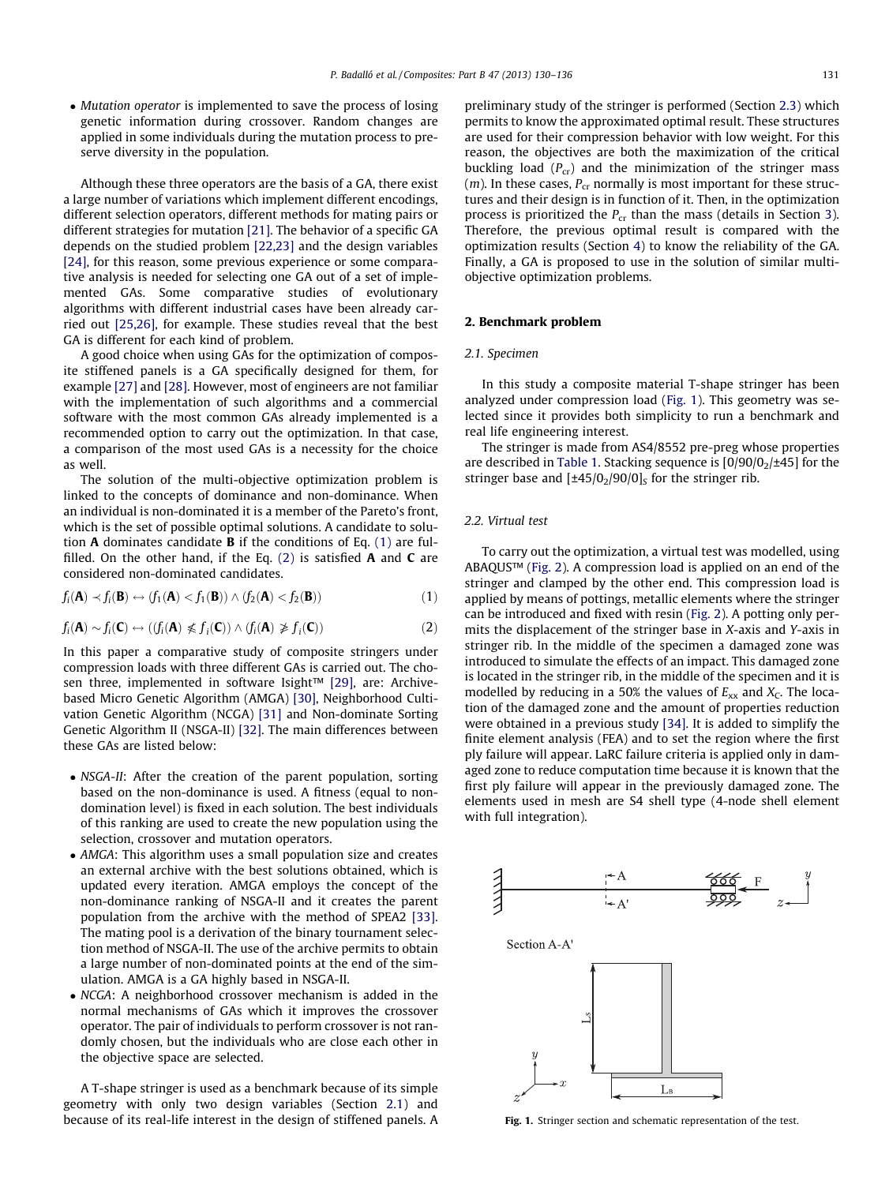• Mutation operator is implemented to save the process of losing genetic information during crossover. Random changes are applied in some individuals during the mutation process to preserve diversity in the population.

Although these three operators are the basis of a GA, there exist a large number of variations which implement different encodings, different selection operators, different methods for mating pairs or different strategies for mutation [\[21\]](#page--1-0). The behavior of a specific GA depends on the studied problem [\[22,23\]](#page--1-0) and the design variables [\[24\],](#page--1-0) for this reason, some previous experience or some comparative analysis is needed for selecting one GA out of a set of implemented GAs. Some comparative studies of evolutionary algorithms with different industrial cases have been already carried out [\[25,26\],](#page--1-0) for example. These studies reveal that the best GA is different for each kind of problem.

A good choice when using GAs for the optimization of composite stiffened panels is a GA specifically designed for them, for example [\[27\]](#page--1-0) and [\[28\].](#page--1-0) However, most of engineers are not familiar with the implementation of such algorithms and a commercial software with the most common GAs already implemented is a recommended option to carry out the optimization. In that case, a comparison of the most used GAs is a necessity for the choice as well.

The solution of the multi-objective optimization problem is linked to the concepts of dominance and non-dominance. When an individual is non-dominated it is a member of the Pareto's front, which is the set of possible optimal solutions. A candidate to solution  $A$  dominates candidate  $B$  if the conditions of Eq. (1) are fulfilled. On the other hand, if the Eq.  $(2)$  is satisfied **A** and **C** are considered non-dominated candidates.

$$
f_i(\mathbf{A}) \prec f_i(\mathbf{B}) \leftrightarrow (f_1(\mathbf{A}) < f_1(\mathbf{B})) \land (f_2(\mathbf{A}) < f_2(\mathbf{B})) \tag{1}
$$

$$
f_i(\mathbf{A}) \sim f_i(\mathbf{C}) \leftrightarrow ((f_i(\mathbf{A}) \not\leq f_i(\mathbf{C})) \wedge (f_i(\mathbf{A}) \not\geq f_i(\mathbf{C}))
$$
\n(2)

In this paper a comparative study of composite stringers under compression loads with three different GAs is carried out. The cho-sen three, implemented in software Isight™ [\[29\],](#page--1-0) are: Archivebased Micro Genetic Algorithm (AMGA) [\[30\],](#page--1-0) Neighborhood Cultivation Genetic Algorithm (NCGA) [\[31\]](#page--1-0) and Non-dominate Sorting Genetic Algorithm II (NSGA-II) [\[32\]](#page--1-0). The main differences between these GAs are listed below:

- NSGA-II: After the creation of the parent population, sorting based on the non-dominance is used. A fitness (equal to nondomination level) is fixed in each solution. The best individuals of this ranking are used to create the new population using the selection, crossover and mutation operators.
- AMGA: This algorithm uses a small population size and creates an external archive with the best solutions obtained, which is updated every iteration. AMGA employs the concept of the non-dominance ranking of NSGA-II and it creates the parent population from the archive with the method of SPEA2 [\[33\].](#page--1-0) The mating pool is a derivation of the binary tournament selection method of NSGA-II. The use of the archive permits to obtain a large number of non-dominated points at the end of the simulation. AMGA is a GA highly based in NSGA-II.
- NCGA: A neighborhood crossover mechanism is added in the normal mechanisms of GAs which it improves the crossover operator. The pair of individuals to perform crossover is not randomly chosen, but the individuals who are close each other in the objective space are selected.

A T-shape stringer is used as a benchmark because of its simple geometry with only two design variables (Section 2.1) and because of its real-life interest in the design of stiffened panels. A preliminary study of the stringer is performed (Section [2.3\)](#page--1-0) which permits to know the approximated optimal result. These structures are used for their compression behavior with low weight. For this reason, the objectives are both the maximization of the critical buckling load  $(P_{cr})$  and the minimization of the stringer mass  $(m)$ . In these cases,  $P_{cr}$  normally is most important for these structures and their design is in function of it. Then, in the optimization process is prioritized the  $P_{cr}$  than the mass (details in Section [3\)](#page--1-0). Therefore, the previous optimal result is compared with the optimization results (Section [4](#page--1-0)) to know the reliability of the GA. Finally, a GA is proposed to use in the solution of similar multiobjective optimization problems.

#### 2. Benchmark problem

#### 2.1. Specimen

In this study a composite material T-shape stringer has been analyzed under compression load (Fig. 1). This geometry was selected since it provides both simplicity to run a benchmark and real life engineering interest.

The stringer is made from AS4/8552 pre-preg whose properties are described in [Table 1.](#page--1-0) Stacking sequence is  $[0/90/0<sub>2</sub>/\pm45]$  for the stringer base and  $[\pm 45/0/90/0]_S$  for the stringer rib.

## 2.2. Virtual test

To carry out the optimization, a virtual test was modelled, using ABAQUS™ [\(Fig. 2\)](#page--1-0). A compression load is applied on an end of the stringer and clamped by the other end. This compression load is applied by means of pottings, metallic elements where the stringer can be introduced and fixed with resin [\(Fig. 2](#page--1-0)). A potting only permits the displacement of the stringer base in X-axis and Y-axis in stringer rib. In the middle of the specimen a damaged zone was introduced to simulate the effects of an impact. This damaged zone is located in the stringer rib, in the middle of the specimen and it is modelled by reducing in a 50% the values of  $E_{xx}$  and  $X_C$ . The location of the damaged zone and the amount of properties reduction were obtained in a previous study [\[34\].](#page--1-0) It is added to simplify the finite element analysis (FEA) and to set the region where the first ply failure will appear. LaRC failure criteria is applied only in damaged zone to reduce computation time because it is known that the first ply failure will appear in the previously damaged zone. The elements used in mesh are S4 shell type (4-node shell element with full integration).



Fig. 1. Stringer section and schematic representation of the test.